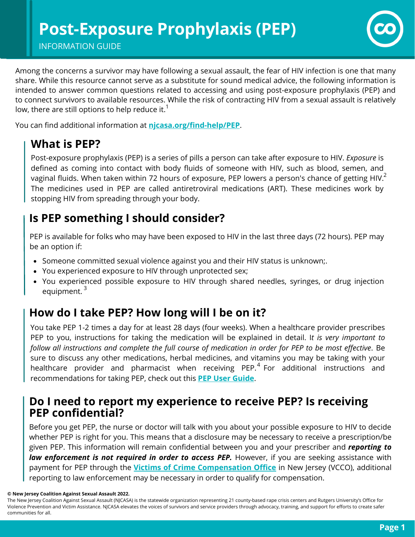

Among the concerns a survivor may have following a sexual assault, the fear of HIV infection is one that many share. While this resource cannot serve as a substitute for sound medical advice, the following information is intended to answer common questions related to accessing and using post-exposure prophylaxis (PEP) and to connect survivors to available resources. While the risk of contracting HIV from a sexual assault is relatively low, there are still options to help reduce it. $^{\mathrm{1}}$ 

You can find additional information at **[njcasa.org/find-help/PEP](https://njcasa.org/find-help/pep/)**.

## **What is PEP?**

Post-exposure prophylaxis (PEP) is a series of pills a person can take after exposure to HIV. *Exposure* is defined as coming into contact with body fluids of someone with HIV, such as blood, semen, and vaginal fluids. When taken within 72 hours of exposure, PEP lowers a person's chance of getting HIV. $^2$ The medicines used in PEP are called antiretroviral medications (ART). These medicines work by stopping HIV from spreading through your body.

# **Is PEP something I should consider?**

PEP is available for folks who may have been exposed to HIV in the last three days (72 hours). PEP may be an option if:

- Someone committed sexual violence against you and their HIV status is unknown;.
- You experienced exposure to HIV through unprotected sex;
- You experienced possible exposure to HIV through shared needles, syringes, or drug injection equipment. <sup>3</sup>

# **How do I take PEP? How long will I be on it?**

You take PEP 1-2 times a day for at least 28 days (four weeks). When a healthcare provider prescribes PEP to you, instructions for taking the medication will be explained in detail. I*t is very important to* follow all instructions and complete the full course of medication in order for PEP to be most effective. Be sure to discuss any other medications, herbal medicines, and vitamins you may be taking with your healthcare provider and pharmacist when receiving PEP. $^4$  For additional instructions and recommendations for taking PEP, check out this **PEP User [Guide](https://www1.nyc.gov/assets/doh/downloads/pdf/ah/pep-users-guide.pdf)**.

### **Do I need to report my experience to receive PEP? Is receiving PEP confidential?**

Before you get PEP, the nurse or doctor will talk with you about your possible exposure to HIV to decide whether PEP is right for you. This means that a disclosure may be necessary to receive a prescription/be given PEP. This information will remain confidential between you and your prescriber and *reporting to law enforcement is not required in order to access PEP.* However, if you are seeking assistance with payment for PEP through the **Victims of Crime [Compensation](https://www.njoag.gov/vcco/vcco-victims/) Office** in New Jersey (VCCO), additional reporting to law enforcement may be necessary in order to qualify for compensation.

#### **© New Jersey Coalition Against Sexual Assault 2022.**

The New Jersey Coalition Against Sexual Assault (NJCASA) is the statewide organization representing 21 county-based rape crisis centers and Rutgers University's Office for Violence Prevention and Victim Assistance. NJCASA elevates the voices of survivors and service providers through advocacy, training, and support for efforts to create safer communities for all.